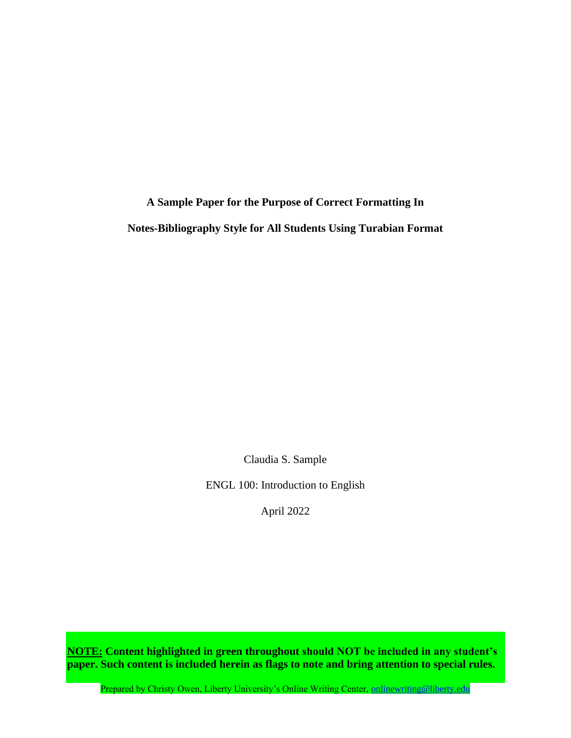**A Sample Paper for the Purpose of Correct Formatting In Notes-Bibliography Style for All Students Using Turabian Format**

Claudia S. Sample

ENGL 100: Introduction to English

April 2022

**NOTE: Content highlighted in green throughout should NOT be included in any student's paper. Such content is included herein as flags to note and bring attention to special rules.**

Prepared by Christy Owen, Liberty University's Online Writing Center, [onlinewriting@liberty.edu](mailto:onlinewriting@liberty.edu)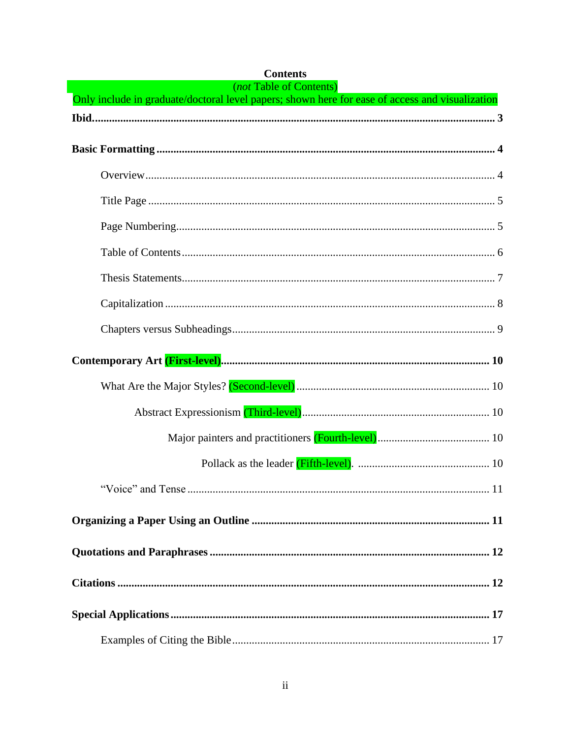| <i>(not Table of Contents)</i><br>Only include in graduate/doctoral level papers; shown here for ease of access and visualization |
|-----------------------------------------------------------------------------------------------------------------------------------|
|                                                                                                                                   |
|                                                                                                                                   |
|                                                                                                                                   |
|                                                                                                                                   |
|                                                                                                                                   |
|                                                                                                                                   |
|                                                                                                                                   |
|                                                                                                                                   |
|                                                                                                                                   |
|                                                                                                                                   |
|                                                                                                                                   |
|                                                                                                                                   |
|                                                                                                                                   |
|                                                                                                                                   |
|                                                                                                                                   |
|                                                                                                                                   |
|                                                                                                                                   |
|                                                                                                                                   |
|                                                                                                                                   |
|                                                                                                                                   |
|                                                                                                                                   |

# **Contents**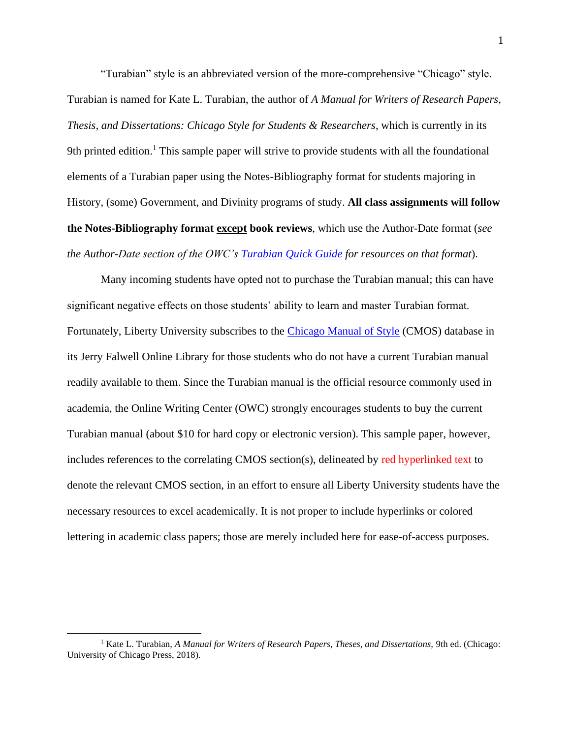"Turabian" style is an abbreviated version of the more-comprehensive "Chicago" style. Turabian is named for Kate L. Turabian, the author of *A Manual for Writers of Research Papers, Thesis, and Dissertations: Chicago Style for Students & Researchers*, which is currently in its 9th printed edition.<sup>1</sup> This sample paper will strive to provide students with all the foundational elements of a Turabian paper using the Notes-Bibliography format for students majoring in History, (some) Government, and Divinity programs of study. **All class assignments will follow the Notes-Bibliography format except book reviews**, which use the Author-Date format (*see the Author-Date section of the OWC's [Turabian Quick Guide](https://www.liberty.edu/casas/academic-success-center/turabian/quick-guide/) for resources on that format*).

Many incoming students have opted not to purchase the Turabian manual; this can have significant negative effects on those students' ability to learn and master Turabian format. Fortunately, Liberty University subscribes to the [Chicago Manual of](https://www-chicagomanualofstyle-org.ezproxy.liberty.edu/home.html) Style (CMOS) database in its Jerry Falwell Online Library for those students who do not have a current Turabian manual readily available to them. Since the Turabian manual is the official resource commonly used in academia, the Online Writing Center (OWC) strongly encourages students to buy the current Turabian manual (about \$10 for hard copy or electronic version). This sample paper, however, includes references to the correlating CMOS section(s), delineated by red hyperlinked text to denote the relevant CMOS section, in an effort to ensure all Liberty University students have the necessary resources to excel academically. It is not proper to include hyperlinks or colored lettering in academic class papers; those are merely included here for ease-of-access purposes.

<sup>&</sup>lt;sup>1</sup> Kate L. Turabian, *A Manual for Writers of Research Papers, Theses, and Dissertations, 9th ed. (Chicago:* University of Chicago Press, 2018).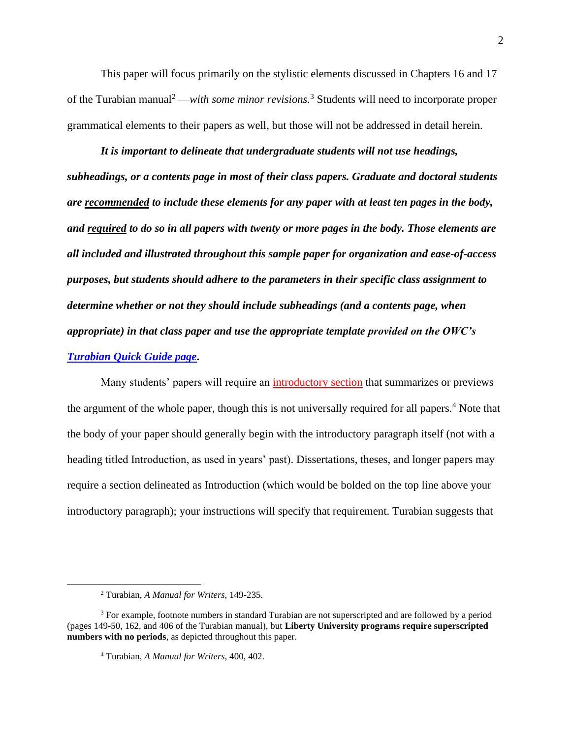This paper will focus primarily on the stylistic elements discussed in Chapters 16 and 17 of the Turabian manual<sup>2</sup> —*with some minor revisions.*<sup>3</sup> Students will need to incorporate proper grammatical elements to their papers as well, but those will not be addressed in detail herein.

*It is important to delineate that undergraduate students will not use headings, subheadings, or a contents page in most of their class papers. Graduate and doctoral students are recommended to include these elements for any paper with at least ten pages in the body, and required to do so in all papers with twenty or more pages in the body. Those elements are all included and illustrated throughout this sample paper for organization and ease-of-access purposes, but students should adhere to the parameters in their specific class assignment to determine whether or not they should include subheadings (and a contents page, when appropriate) in that class paper and use the appropriate template provided on the OWC's [Turabian Quick Guide page](https://www.liberty.edu/casas/academic-success-center/turabian/quick-guide/)***.**

Many students' papers will require an [introductory section](https://www-chicagomanualofstyle-org.ezproxy.liberty.edu/book/ed17/part1/ch01/psec047.html) that summarizes or previews the argument of the whole paper, though this is not universally required for all papers.<sup>4</sup> Note that the body of your paper should generally begin with the introductory paragraph itself (not with a heading titled Introduction, as used in years' past). Dissertations, theses, and longer papers may require a section delineated as Introduction (which would be bolded on the top line above your introductory paragraph); your instructions will specify that requirement. Turabian suggests that

<sup>2</sup> Turabian, *A Manual for Writers*, 149-235.

<sup>&</sup>lt;sup>3</sup> For example, footnote numbers in standard Turabian are not superscripted and are followed by a period (pages 149-50, 162, and 406 of the Turabian manual), but **Liberty University programs require superscripted numbers with no periods**, as depicted throughout this paper.

<sup>4</sup> Turabian, *A Manual for Writers*, 400, 402.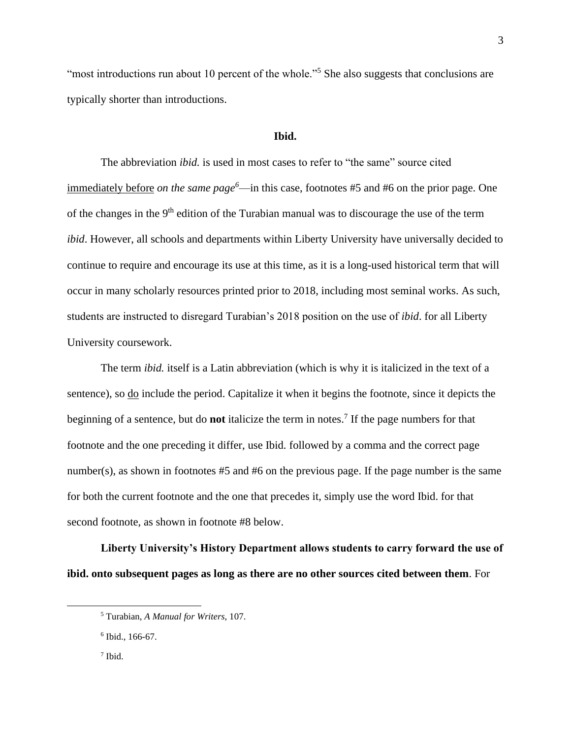"most introductions run about 10 percent of the whole."<sup>5</sup> She also suggests that conclusions are typically shorter than introductions.

#### **Ibid.**

<span id="page-5-0"></span>The abbreviation *ibid.* is used in most cases to refer to "the same" source cited immediately before *on the same page<sup>6</sup>*—in this case, footnotes #5 and #6 on the prior page. One of the changes in the 9<sup>th</sup> edition of the Turabian manual was to discourage the use of the term *ibid*. However, all schools and departments within Liberty University have universally decided to continue to require and encourage its use at this time, as it is a long-used historical term that will occur in many scholarly resources printed prior to 2018, including most seminal works. As such, students are instructed to disregard Turabian's 2018 position on the use of *ibid*. for all Liberty University coursework.

The term *ibid.* itself is a Latin abbreviation (which is why it is italicized in the text of a sentence), so <u>do</u> include the period. Capitalize it when it begins the footnote, since it depicts the beginning of a sentence, but do **not** italicize the term in notes. 7 If the page numbers for that footnote and the one preceding it differ, use Ibid. followed by a comma and the correct page number(s), as shown in footnotes #5 and #6 on the previous page. If the page number is the same for both the current footnote and the one that precedes it, simply use the word Ibid. for that second footnote, as shown in footnote #8 below.

**Liberty University's History Department allows students to carry forward the use of ibid. onto subsequent pages as long as there are no other sources cited between them**. For

7 Ibid.

<sup>5</sup> Turabian, *A Manual for Writers*, 107.

<sup>6</sup> Ibid., 166-67.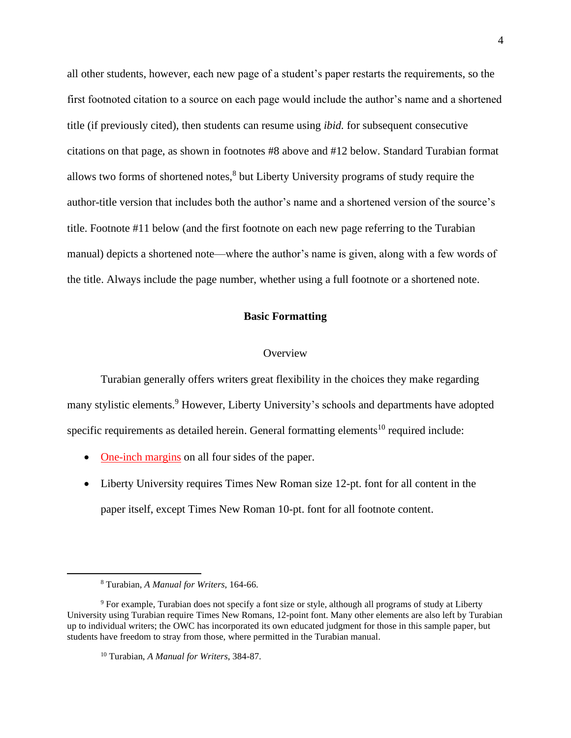all other students, however, each new page of a student's paper restarts the requirements, so the first footnoted citation to a source on each page would include the author's name and a shortened title (if previously cited), then students can resume using *ibid.* for subsequent consecutive citations on that page, as shown in footnotes #8 above and #12 below. Standard Turabian format allows two forms of shortened notes,<sup>8</sup> but Liberty University programs of study require the author-title version that includes both the author's name and a shortened version of the source's title. Footnote #11 below (and the first footnote on each new page referring to the Turabian manual) depicts a shortened note—where the author's name is given, along with a few words of the title. Always include the page number, whether using a full footnote or a shortened note.

#### **Basic Formatting**

#### **Overview**

<span id="page-6-1"></span><span id="page-6-0"></span>Turabian generally offers writers great flexibility in the choices they make regarding many stylistic elements.<sup>9</sup> However, Liberty University's schools and departments have adopted specific requirements as detailed herein. General formatting elements<sup>10</sup> required include:

- [One-inch margins](https://www-chicagomanualofstyle-org.ezproxy.liberty.edu/book/ed17/part1/ch02/psec010.html) on all four sides of the paper.
- Liberty University requires Times New Roman size 12-pt. font for all content in the paper itself, except Times New Roman 10-pt. font for all footnote content.

<sup>8</sup> Turabian, *A Manual for Writers*, 164-66.

<sup>9</sup> For example, Turabian does not specify a font size or style, although all programs of study at Liberty University using Turabian require Times New Romans, 12-point font. Many other elements are also left by Turabian up to individual writers; the OWC has incorporated its own educated judgment for those in this sample paper, but students have freedom to stray from those, where permitted in the Turabian manual.

<sup>10</sup> Turabian, *A Manual for Writers*, 384-87.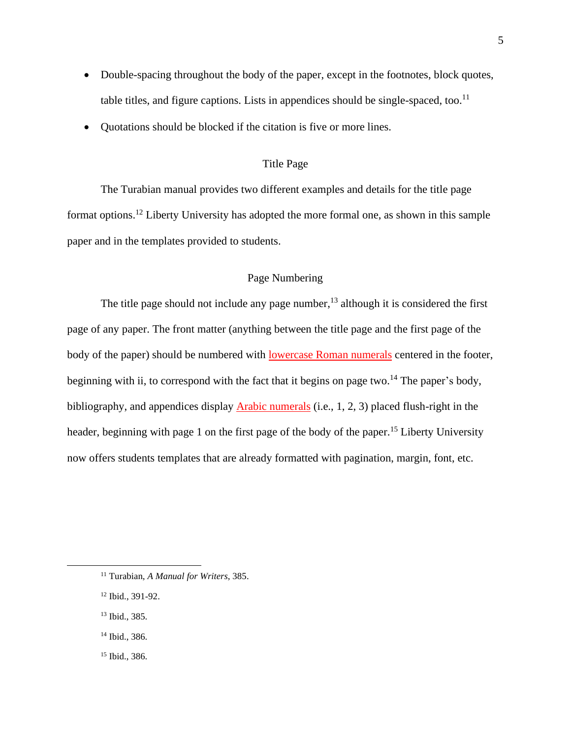- Double-spacing throughout the body of the paper, except in the footnotes, block quotes, table titles, and figure captions. Lists in appendices should be single-spaced, too.<sup>11</sup>
- <span id="page-7-0"></span>• Quotations should be blocked if the citation is five or more lines.

### Title Page

The Turabian manual provides two different examples and details for the title page format options.<sup>12</sup> Liberty University has adopted the more formal one, as shown in this sample paper and in the templates provided to students.

### Page Numbering

<span id="page-7-1"></span>The title page should not include any page number,<sup>13</sup> although it is considered the first page of any paper. The front matter (anything between the title page and the first page of the body of the paper) should be numbered with [lowercase Roman numerals](https://www-chicagomanualofstyle-org.ezproxy.liberty.edu/book/ed17/part1/ch01/psec007.html) centered in the footer, beginning with ii, to correspond with the fact that it begins on page two.<sup>14</sup> The paper's body, bibliography, and appendices display [Arabic numerals](https://www-chicagomanualofstyle-org.ezproxy.liberty.edu/book/ed17/part1/ch01/psec008.html) (i.e., 1, 2, 3) placed flush-right in the header, beginning with page 1 on the first page of the body of the paper.<sup>15</sup> Liberty University now offers students templates that are already formatted with pagination, margin, font, etc.

- <sup>13</sup> Ibid., 385.
- <sup>14</sup> Ibid., 386.
- <sup>15</sup> Ibid., 386.

<sup>11</sup> Turabian, *A Manual for Writers*, 385.

<sup>12</sup> Ibid., 391-92.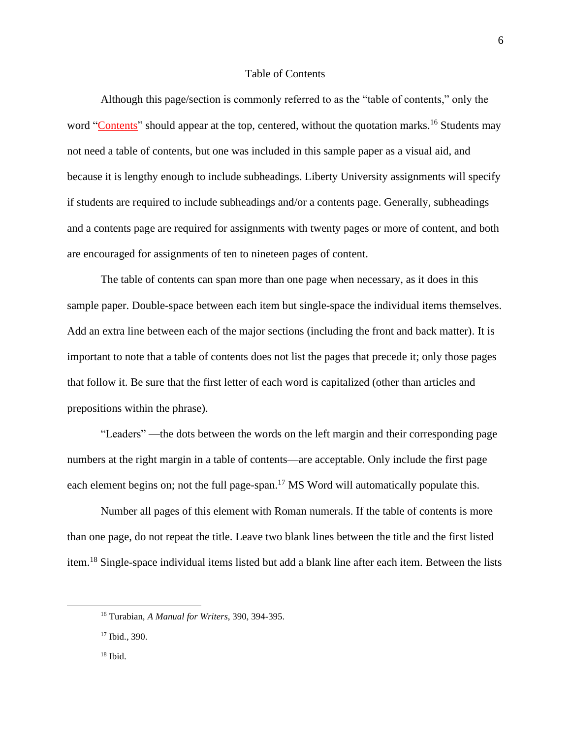#### Table of Contents

<span id="page-8-0"></span>Although this page/section is commonly referred to as the "table of contents," only the word ["Contents"](https://www-chicagomanualofstyle-org.ezproxy.liberty.edu/book/ed17/part1/ch01/figures/fig005.html) should appear at the top, centered, without the quotation marks.<sup>16</sup> Students may not need a table of contents, but one was included in this sample paper as a visual aid, and because it is lengthy enough to include subheadings. Liberty University assignments will specify if students are required to include subheadings and/or a contents page. Generally, subheadings and a contents page are required for assignments with twenty pages or more of content, and both are encouraged for assignments of ten to nineteen pages of content.

The table of contents can span more than one page when necessary, as it does in this sample paper. Double-space between each item but single-space the individual items themselves. Add an extra line between each of the major sections (including the front and back matter). It is important to note that a table of contents does not list the pages that precede it; only those pages that follow it. Be sure that the first letter of each word is capitalized (other than articles and prepositions within the phrase).

"Leaders" —the dots between the words on the left margin and their corresponding page numbers at the right margin in a table of contents—are acceptable. Only include the first page each element begins on; not the full page-span.<sup>17</sup> MS Word will automatically populate this.

Number all pages of this element with Roman numerals. If the table of contents is more than one page, do not repeat the title. Leave two blank lines between the title and the first listed item.<sup>18</sup> Single-space individual items listed but add a blank line after each item. Between the lists

<sup>16</sup> Turabian, *A Manual for Writers*, 390, 394-395.

<sup>17</sup> Ibid., 390.

<sup>18</sup> Ibid.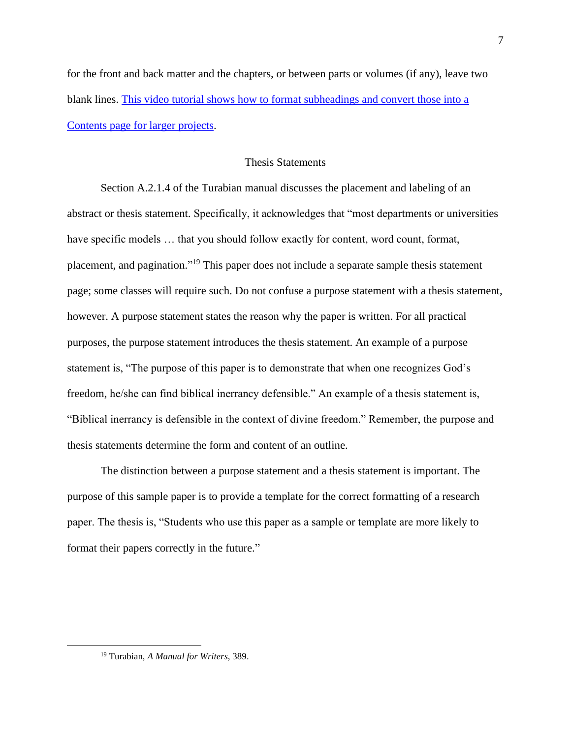for the front and back matter and the chapters, or between parts or volumes (if any), leave two blank lines. [This video tutorial shows how to format subheadings and convert those into a](https://watch.liberty.edu/media/t/0_uf2oezog)  [Contents page for larger projects.](https://watch.liberty.edu/media/t/0_uf2oezog)

#### Thesis Statements

<span id="page-9-0"></span>Section A.2.1.4 of the Turabian manual discusses the placement and labeling of an abstract or thesis statement. Specifically, it acknowledges that "most departments or universities have specific models ... that you should follow exactly for content, word count, format, placement, and pagination."<sup>19</sup> This paper does not include a separate sample thesis statement page; some classes will require such. Do not confuse a purpose statement with a thesis statement, however. A purpose statement states the reason why the paper is written. For all practical purposes, the purpose statement introduces the thesis statement. An example of a purpose statement is, "The purpose of this paper is to demonstrate that when one recognizes God's freedom, he/she can find biblical inerrancy defensible." An example of a thesis statement is, "Biblical inerrancy is defensible in the context of divine freedom." Remember, the purpose and thesis statements determine the form and content of an outline.

The distinction between a purpose statement and a thesis statement is important. The purpose of this sample paper is to provide a template for the correct formatting of a research paper. The thesis is, "Students who use this paper as a sample or template are more likely to format their papers correctly in the future."

<sup>19</sup> Turabian, *A Manual for Writers*, 389.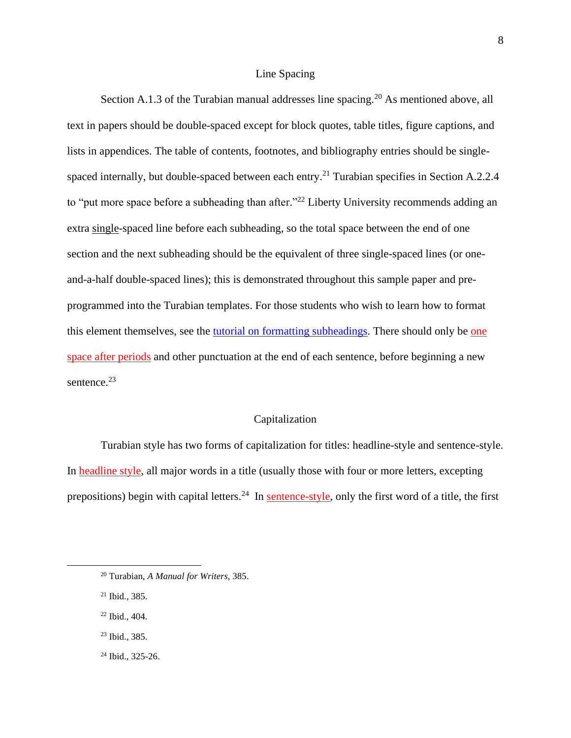#### Line Spacing

Section A.1.3 of the Turabian manual addresses line spacing.<sup>20</sup> As mentioned above, all text in papers should be double-spaced except for block quotes, table titles, figure captions, and lists in appendices. The table of contents, footnotes, and bibliography entries should be singlespaced internally, but double-spaced between each entry.<sup>21</sup> Turabian specifies in Section A.2.2.4 to "put more space before a subheading than after."<sup>22</sup> Liberty University recommends adding an extra single-spaced line before each subheading, so the total space between the end of one section and the next subheading should be the equivalent of three single-spaced lines (or oneand-a-half double-spaced lines); this is demonstrated throughout this sample paper and preprogrammed into the Turabian templates. For those students who wish to learn how to format this element themselves, see the **tutorial on formatting subheadings**. There should only be one [space after periods](https://www-chicagomanualofstyle-org.ezproxy.liberty.edu/book/ed17/part1/ch02/psec009.html) and other punctuation at the end of each sentence, before beginning a new sentence.<sup>23</sup>

#### Capitalization

<span id="page-10-0"></span>Turabian style has two forms of capitalization for titles: headline-style and sentence-style. In [headline style,](https://www-chicagomanualofstyle-org.ezproxy.liberty.edu/book/ed17/part2/ch08/psec159.html) all major words in a title (usually those with four or more letters, excepting prepositions) begin with capital letters.<sup>24</sup> In [sentence-style,](https://www-chicagomanualofstyle-org.ezproxy.liberty.edu/book/ed17/part2/ch08/psec158.html) only the first word of a title, the first

- <sup>22</sup> Ibid., 404.
- <sup>23</sup> Ibid., 385.
- <sup>24</sup> Ibid., 325-26.

<sup>20</sup> Turabian, *A Manual for Writers*, 385.

<sup>21</sup> Ibid., 385.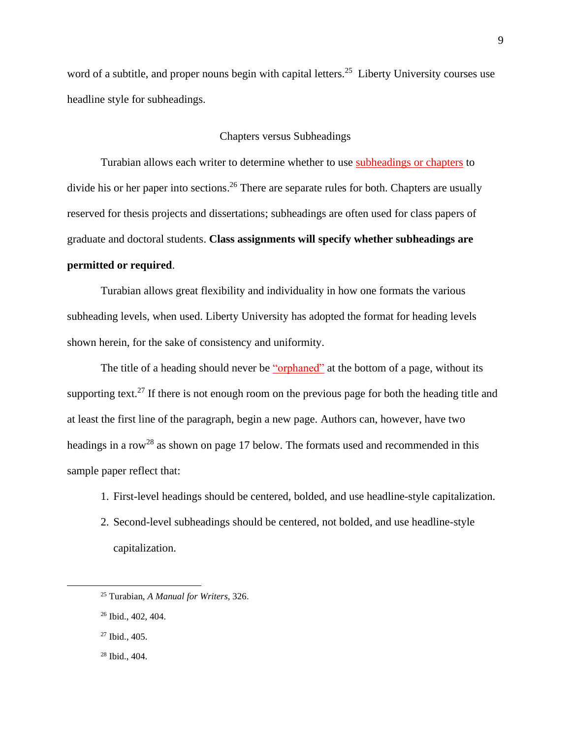word of a subtitle, and proper nouns begin with capital letters.<sup>25</sup> Liberty University courses use headline style for subheadings.

#### Chapters versus Subheadings

<span id="page-11-0"></span>Turabian allows each writer to determine whether to use [subheadings or chapters](https://www-chicagomanualofstyle-org.ezproxy.liberty.edu/book/ed17/part1/ch01/psec056.html) to divide his or her paper into sections.<sup>26</sup> There are separate rules for both. Chapters are usually reserved for thesis projects and dissertations; subheadings are often used for class papers of graduate and doctoral students. **Class assignments will specify whether subheadings are permitted or required**.

Turabian allows great flexibility and individuality in how one formats the various subheading levels, when used. Liberty University has adopted the format for heading levels shown herein, for the sake of consistency and uniformity.

The title of a heading should never be ["orphaned"](https://www-chicagomanualofstyle-org.ezproxy.liberty.edu/book/ed17/part1/ch02/psec116.html) at the bottom of a page, without its supporting text.<sup>27</sup> If there is not enough room on the previous page for both the heading title and at least the first line of the paragraph, begin a new page. Authors can, however, have two headings in a row<sup>28</sup> as shown on page 17 below. The formats used and recommended in this sample paper reflect that:

- 1. First-level headings should be centered, bolded, and use headline-style capitalization.
- 2. Second-level subheadings should be centered, not bolded, and use headline-style capitalization.

<sup>25</sup> Turabian, *A Manual for Writers*, 326.

<sup>26</sup> Ibid., 402, 404.

<sup>27</sup> Ibid., 405.

<sup>28</sup> Ibid., 404.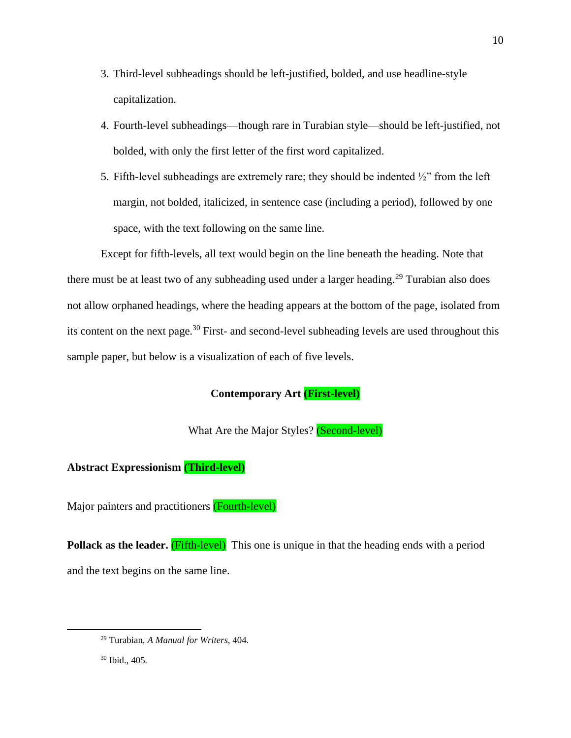- 3. Third-level subheadings should be left-justified, bolded, and use headline-style capitalization.
- 4. Fourth-level subheadings—though rare in Turabian style—should be left-justified, not bolded, with only the first letter of the first word capitalized.
- 5. Fifth-level subheadings are extremely rare; they should be indented  $\frac{1}{2}$ " from the left margin, not bolded, italicized, in sentence case (including a period), followed by one space, with the text following on the same line.

Except for fifth-levels, all text would begin on the line beneath the heading. Note that there must be at least two of any subheading used under a larger heading.<sup>29</sup> Turabian also does not allow orphaned headings, where the heading appears at the bottom of the page, isolated from its content on the next page.<sup>30</sup> First- and second-level subheading levels are used throughout this sample paper, but below is a visualization of each of five levels.

### **Contemporary Art (First-level)**

<span id="page-12-4"></span>What Are the Major Styles? (Second-level)

### <span id="page-12-2"></span><span id="page-12-1"></span><span id="page-12-0"></span>**Abstract Expressionism (Third-level)**

<span id="page-12-3"></span>Major painters and practitioners (Fourth-level)

**Pollack as the leader.** (Fifth-level) This one is unique in that the heading ends with a period and the text begins on the same line.

<sup>29</sup> Turabian, *A Manual for Writers*, 404.

<sup>30</sup> Ibid., 405.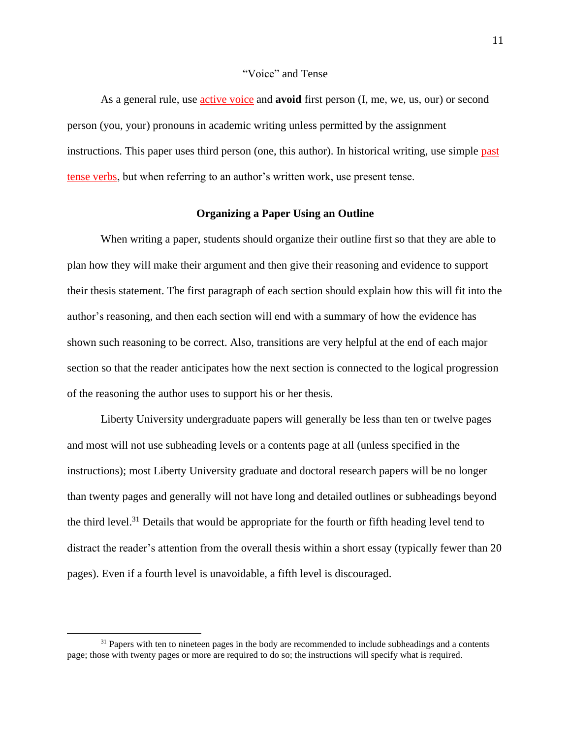#### "Voice" and Tense

<span id="page-13-0"></span>As a general rule, use [active voice](https://www-chicagomanualofstyle-org.ezproxy.liberty.edu/book/ed17/part2/ch05/psec118.html) and **avoid** first person (I, me, we, us, our) or second person (you, your) pronouns in academic writing unless permitted by the assignment instructions. This paper uses third person (one, this author). In historical writing, use simple [past](https://www-chicagomanualofstyle-org.ezproxy.liberty.edu/book/ed17/part2/ch05/psec130.html)  tense [verbs,](https://www-chicagomanualofstyle-org.ezproxy.liberty.edu/book/ed17/part2/ch05/psec130.html) but when referring to an author's written work, use present tense.

#### **Organizing a Paper Using an Outline**

<span id="page-13-1"></span>When writing a paper, students should organize their outline first so that they are able to plan how they will make their argument and then give their reasoning and evidence to support their thesis statement. The first paragraph of each section should explain how this will fit into the author's reasoning, and then each section will end with a summary of how the evidence has shown such reasoning to be correct. Also, transitions are very helpful at the end of each major section so that the reader anticipates how the next section is connected to the logical progression of the reasoning the author uses to support his or her thesis.

Liberty University undergraduate papers will generally be less than ten or twelve pages and most will not use subheading levels or a contents page at all (unless specified in the instructions); most Liberty University graduate and doctoral research papers will be no longer than twenty pages and generally will not have long and detailed outlines or subheadings beyond the third level.<sup>31</sup> Details that would be appropriate for the fourth or fifth heading level tend to distract the reader's attention from the overall thesis within a short essay (typically fewer than 20 pages). Even if a fourth level is unavoidable, a fifth level is discouraged.

 $31$  Papers with ten to nineteen pages in the body are recommended to include subheadings and a contents page; those with twenty pages or more are required to do so; the instructions will specify what is required.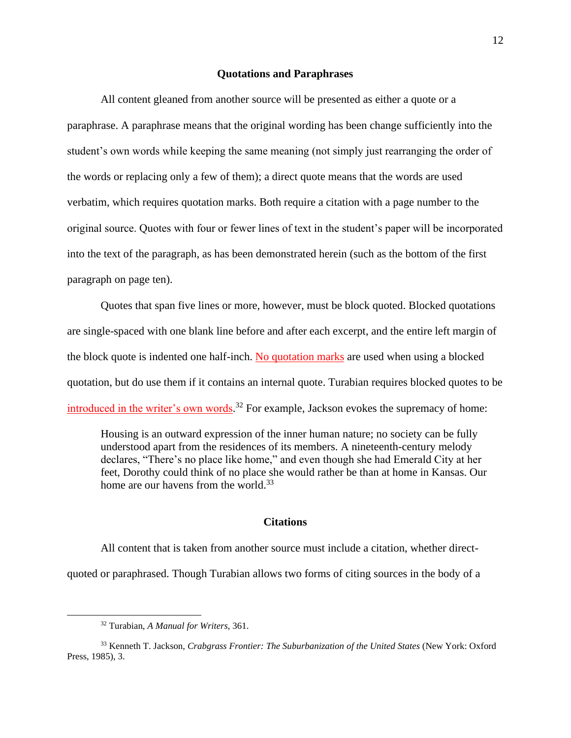#### **Quotations and Paraphrases**

<span id="page-14-0"></span>All content gleaned from another source will be presented as either a quote or a paraphrase. A paraphrase means that the original wording has been change sufficiently into the student's own words while keeping the same meaning (not simply just rearranging the order of the words or replacing only a few of them); a direct quote means that the words are used verbatim, which requires quotation marks. Both require a citation with a page number to the original source. Quotes with four or fewer lines of text in the student's paper will be incorporated into the text of the paragraph, as has been demonstrated herein (such as the bottom of the first paragraph on page ten).

Quotes that span five lines or more, however, must be block quoted. Blocked quotations are single-spaced with one blank line before and after each excerpt, and the entire left margin of the block quote is indented one half-inch. [No quotation marks](https://www-chicagomanualofstyle-org.ezproxy.liberty.edu/book/ed17/part2/ch13/psec009.html) are used when using a blocked quotation, but do use them if it contains an internal quote. Turabian requires blocked quotes to be [introduced in the writer's own words.](https://www-chicagomanualofstyle-org.ezproxy.liberty.edu/book/ed17/part2/ch13/psec023.html)<sup>32</sup> For example, Jackson evokes the supremacy of home:

Housing is an outward expression of the inner human nature; no society can be fully understood apart from the residences of its members. A nineteenth-century melody declares, "There's no place like home," and even though she had Emerald City at her feet, Dorothy could think of no place she would rather be than at home in Kansas. Our home are our havens from the world.<sup>33</sup>

### **Citations**

<span id="page-14-1"></span>All content that is taken from another source must include a citation, whether directquoted or paraphrased. Though Turabian allows two forms of citing sources in the body of a

<sup>32</sup> Turabian, *A Manual for Writers*, 361.

<sup>33</sup> Kenneth T. Jackson, *Crabgrass Frontier: The [Suburbanization](https://bookshop.org/a/132/9780195049831) of the United States* (New York: Oxford Press, 1985), 3.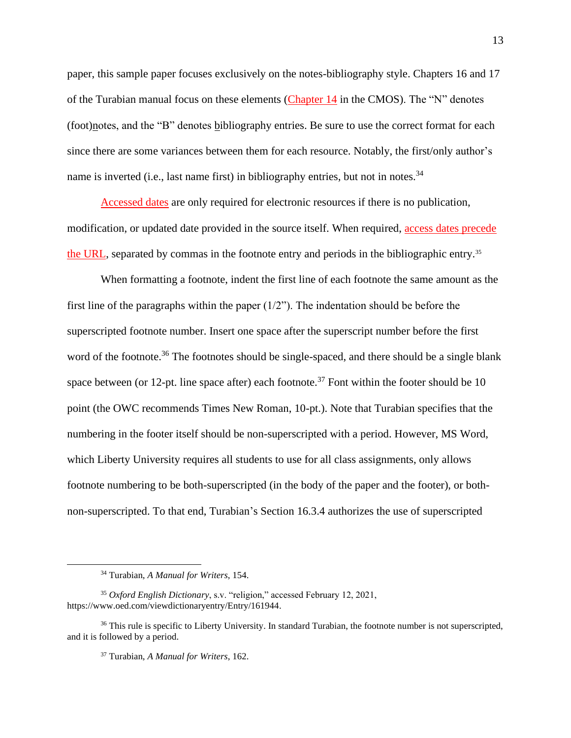paper, this sample paper focuses exclusively on the notes-bibliography style. Chapters 16 and 17 of the Turabian manual focus on these elements [\(Chapter 14](https://www-chicagomanualofstyle-org.ezproxy.liberty.edu/book/ed17/part3/ch14/toc.html) in the CMOS). The "N" denotes (foot)notes, and the "B" denotes bibliography entries. Be sure to use the correct format for each since there are some variances between them for each resource. Notably, the first/only author's name is inverted (i.e., last name first) in bibliography entries, but not in notes.<sup>34</sup>

[Accessed dates](https://www-chicagomanualofstyle-org.ezproxy.liberty.edu/book/ed17/part3/ch14/psec012.html) are only required for electronic resources if there is no publication, modification, or updated date provided in the source itself. When required, [access dates precede](https://www-chicagomanualofstyle-org.ezproxy.liberty.edu/book/ed17/part3/ch14/psec176.html)  [the URL,](https://www-chicagomanualofstyle-org.ezproxy.liberty.edu/book/ed17/part3/ch14/psec176.html) separated by commas in the footnote entry and periods in the bibliographic entry.<sup>35</sup>

When formatting a footnote, indent the first line of each footnote the same amount as the first line of the paragraphs within the paper  $(1/2)$ . The indentation should be before the superscripted footnote number. Insert one space after the superscript number before the first word of the footnote.<sup>36</sup> The footnotes should be single-spaced, and there should be a single blank space between (or 12-pt. line space after) each footnote.<sup>37</sup> Font within the footer should be 10 point (the OWC recommends Times New Roman, 10-pt.). Note that Turabian specifies that the numbering in the footer itself should be non-superscripted with a period. However, MS Word, which Liberty University requires all students to use for all class assignments, only allows footnote numbering to be both-superscripted (in the body of the paper and the footer), or bothnon-superscripted. To that end, Turabian's Section 16.3.4 authorizes the use of superscripted

<sup>34</sup> Turabian, *A Manual for Writers*, 154.

<sup>35</sup> *Oxford English Dictionary*, s.v. "religion," accessed February 12, 2021, https://www.oed.com/viewdictionaryentry/Entry/161944.

<sup>&</sup>lt;sup>36</sup> This rule is specific to Liberty University. In standard Turabian, the footnote number is not superscripted, and it is followed by a period.

<sup>37</sup> Turabian, *A Manual for Writers*, 162.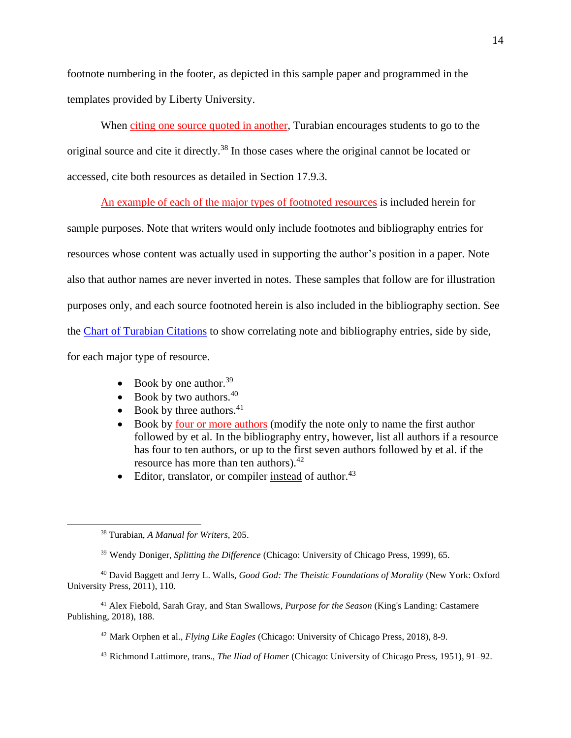footnote numbering in the footer, as depicted in this sample paper and programmed in the templates provided by Liberty University.

When [citing one source quoted in another,](https://www-chicagomanualofstyle-org.ezproxy.liberty.edu/book/ed17/part3/ch14/psec260.html) Turabian encourages students to go to the original source and cite it directly.<sup>38</sup> In those cases where the original cannot be located or accessed, cite both resources as detailed in Section 17.9.3.

[An example of each of the major types of footnoted resources](https://www-chicagomanualofstyle-org.ezproxy.liberty.edu/book/ed17/part3/ch14/psec023.html) is included herein for

sample purposes. Note that writers would only include footnotes and bibliography entries for resources whose content was actually used in supporting the author's position in a paper. Note also that author names are never inverted in notes. These samples that follow are for illustration purposes only, and each source footnoted herein is also included in the bibliography section. See the [Chart of Turabian Citations](https://www.liberty.edu/casas/academic-success-center/wp-content/uploads/sites/28/2020/05/Turabian-Chart-of-Citations-NB-03282020.pdf) to show correlating note and bibliography entries, side by side, for each major type of resource.

- Book by one author.<sup>39</sup>
- Book by two authors. $40$
- Book by three authors. $41$
- Book by [four or more authors](https://www-chicagomanualofstyle-org.ezproxy.liberty.edu/book/ed17/part3/ch14/psec076.html) (modify the note only to name the first author followed by et al. In the bibliography entry, however, list all authors if a resource has four to ten authors, or up to the first seven authors followed by et al. if the resource has more than ten authors).<sup>42</sup>
- Editor, translator, or compiler instead of author.<sup>43</sup>

<sup>41</sup> Alex Fiebold, Sarah Gray, and Stan Swallows, *Purpose for the Season* (King's Landing: Castamere Publishing, 2018), 188.

<sup>42</sup> Mark Orphen et al., *Flying Like Eagles* (Chicago: University of Chicago Press, 2018), 8-9.

<sup>43</sup> Richmond Lattimore, trans., *The Iliad of Homer* (Chicago: University of Chicago Press, 1951), 91–92.

<sup>38</sup> Turabian, *A Manual for Writers*, 205.

<sup>39</sup> Wendy Doniger, *Splitting the Difference* (Chicago: University of Chicago Press, 1999), 65.

<sup>40</sup> David Baggett and Jerry L. Walls, *Good God: The Theistic Foundations of Morality* (New York: Oxford University Press, 2011), 110.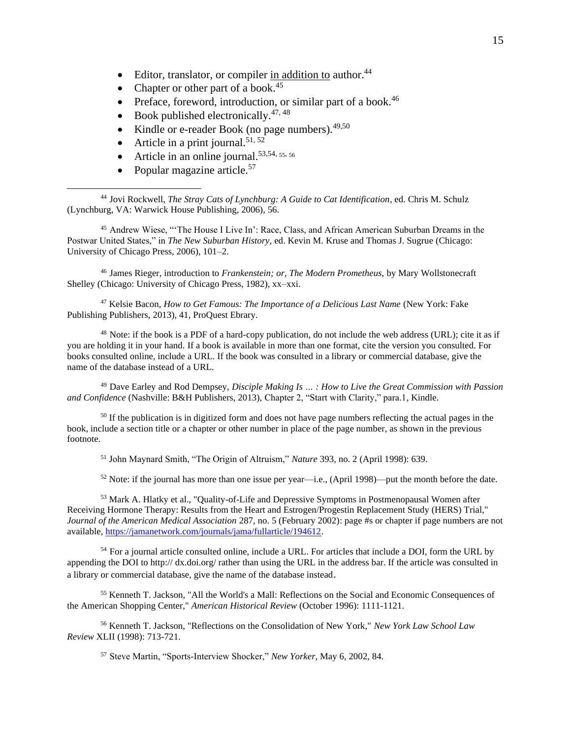- Editor, translator, or compiler in addition to author.<sup>44</sup>
- Chapter or other part of a book. $45$
- Preface, foreword, introduction, or similar part of a book.<sup>46</sup>
- Book published electronically. $47, 48$
- Kindle or e-reader Book (no page numbers).  $49,50$
- Article in a print journal.<sup>51, 52</sup>
- Article in an online journal.<sup>53,54, 55, 56</sup>
- Popular magazine article.<sup>57</sup>

<sup>44</sup> Jovi Rockwell, *The Stray Cats of Lynchburg: A Guide to Cat Identification*, ed. Chris M. Schulz (Lynchburg, VA: Warwick House Publishing, 2006), 56.

<sup>45</sup> Andrew Wiese, "'The House I Live In': Race, Class, and African American Suburban Dreams in the Postwar United States," in *The New Suburban History,* ed. Kevin M. Kruse and Thomas J. Sugrue (Chicago: University of Chicago Press, 2006), 101–2.

<sup>46</sup> James Rieger, introduction to *Frankenstein; or, The Modern Prometheus,* by Mary Wollstonecraft Shelley (Chicago: University of Chicago Press, 1982), xx–xxi.

<sup>47</sup> Kelsie Bacon, *How to Get Famous: The Importance of a Delicious Last Name* (New York: Fake Publishing Publishers, 2013), 41, ProQuest Ebrary.

<sup>48</sup> Note: if the book is a PDF of a hard-copy publication, do not include the web address (URL); cite it as if you are holding it in your hand. If a book is available in more than one format, cite the version you consulted. For books consulted online, include a URL. If the book was consulted in a library or commercial database, give the name of the database instead of a URL.

<sup>49</sup> Dave Earley and Rod Dempsey, *Disciple Making Is … : How to Live the Great Commission with Passion and Confidence* (Nashville: B&H Publishers, 2013), Chapter 2, "Start with Clarity," para.1, Kindle.

<sup>50</sup> If the publication is in digitized form and does not have page numbers reflecting the actual pages in the book, include a section title or a chapter or other number in place of the page number, as shown in the previous footnote.

<sup>51</sup> John Maynard Smith, "The Origin of Altruism," *Nature* 393, no. 2 (April 1998): 639.

 $52$  Note: if the journal has more than one issue per year—i.e., (April 1998)—put the month before the date.

<sup>53</sup> Mark A. Hlatky et al., "Quality-of-Life and Depressive Symptoms in Postmenopausal Women after Receiving Hormone Therapy: Results from the Heart and Estrogen/Progestin Replacement Study (HERS) Trial," *Journal of the American Medical Association* 287, no. 5 (February 2002): page #s or chapter if page numbers are not available, [https://jamanetwork.com/journals/jama/fullarticle/194612.](https://jamanetwork.com/journals/jama/fullarticle/194612)

<sup>54</sup> For a journal article consulted online, include a URL. For articles that include a DOI, form the URL by appending the DOI to http:// dx.doi.org/ rather than using the URL in the address bar. If the article was consulted in a library or commercial database, give the name of the database instead.

<sup>55</sup> Kenneth T. Jackson, "All the World's a Mall: Reflections on the Social and Economic Consequences of the American Shopping Center," *American Historical Review* (October 1996): 1111-1121.

<sup>56</sup> Kenneth T. Jackson, "Reflections on the Consolidation of New York," *New York Law School Law Review* XLII (1998): 713-721.

<sup>57</sup> Steve Martin, "Sports-Interview Shocker," *New Yorker,* May 6, 2002, 84.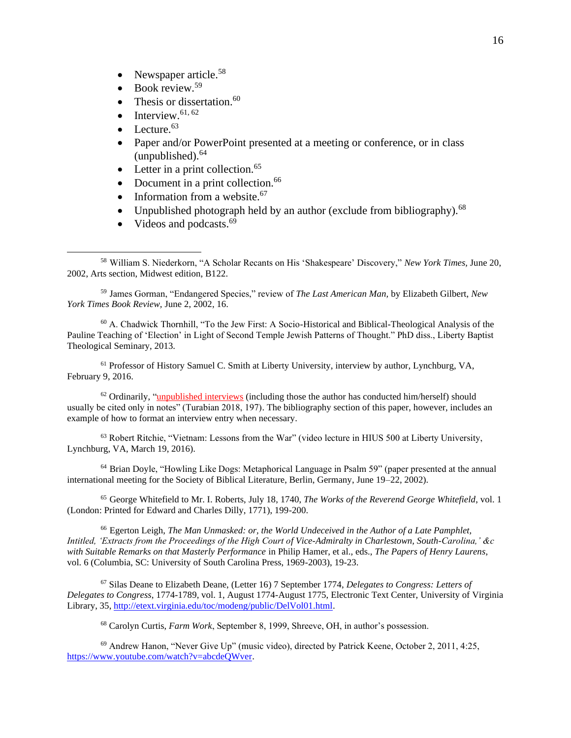- Newspaper article. $58$
- $\bullet$  Book review.<sup>59</sup>
- Thesis or dissertation. $60$
- Interview. $61, 62$
- Lecture. $63$
- Paper and/or PowerPoint presented at a meeting or conference, or in class  $(unpublished).<sup>64</sup>$
- Letter in a print collection. $65$
- Document in a print collection. $66$
- Information from a website.<sup>67</sup>
- Unpublished photograph held by an author (exclude from bibliography). $^{68}$
- Videos and podcasts. $69$

<sup>59</sup> James Gorman, "Endangered Species," review of *The Last American Man,* by Elizabeth Gilbert, *New York Times Book Review,* June 2, 2002, 16.

<sup>60</sup> A. Chadwick Thornhill, "To the Jew First: A Socio-Historical and Biblical-Theological Analysis of the Pauline Teaching of 'Election' in Light of Second Temple Jewish Patterns of Thought." PhD diss., Liberty Baptist Theological Seminary, 2013.

<sup>61</sup> Professor of History Samuel C. Smith at Liberty University, interview by author, Lynchburg, VA, February 9, 2016.

 $62$  Ordinarily, ["unpublished interviews](https://www-chicagomanualofstyle-org.ezproxy.liberty.edu/book/ed17/part3/ch14/psec211.html) (including those the author has conducted him/herself) should usually be cited only in notes" (Turabian 2018, 197). The bibliography section of this paper, however, includes an example of how to format an interview entry when necessary.

 $<sup>63</sup>$  Robert Ritchie, "Vietnam: Lessons from the War" (video lecture in HIUS 500 at Liberty University,</sup> Lynchburg, VA, March 19, 2016).

<sup>64</sup> Brian Doyle, "Howling Like Dogs: Metaphorical Language in Psalm 59" (paper presented at the annual international meeting for the Society of Biblical Literature, Berlin, Germany, June 19–22, 2002).

<sup>65</sup> George Whitefield to Mr. I. Roberts, July 18, 1740, *The Works of the Reverend George Whitefield*, vol. 1 (London: Printed for Edward and Charles Dilly, 1771), 199-200.

<sup>66</sup> Egerton Leigh, *The Man Unmasked: or, the World Undeceived in the Author of a Late Pamphlet, Intitled, 'Extracts from the Proceedings of the High Court of Vice-Admiralty in Charlestown, South-Carolina,' &c with Suitable Remarks on that Masterly Performance* in Philip Hamer, et al., eds., *The Papers of Henry Laurens*, vol. 6 (Columbia, SC: University of South Carolina Press, 1969-2003), 19-23.

<sup>67</sup> Silas Deane to Elizabeth Deane, (Letter 16) 7 September 1774, *Delegates to Congress: Letters of Delegates to Congress*, 1774-1789, vol. 1, August 1774-August 1775, Electronic Text Center, University of Virginia Library, 35, [http://etext.virginia.edu/toc/modeng/public/DelVol01.html.](http://etext.virginia.edu/toc/modeng/public/DelVol01.html)

<sup>68</sup> Carolyn Curtis, *Farm Work*, September 8, 1999, Shreeve, OH, in author's possession.

<sup>69</sup> Andrew Hanon, "Never Give Up" (music video), directed by Patrick Keene, October 2, 2011, 4:25, [https://www.youtube.com/watch?v=abcdeQWver.](https://www.youtube.com/watch?v=abcdeQWver)

<sup>58</sup> William S. Niederkorn, "A Scholar Recants on His 'Shakespeare' Discovery," *New York Times,* June 20, 2002, Arts section, Midwest edition, B122.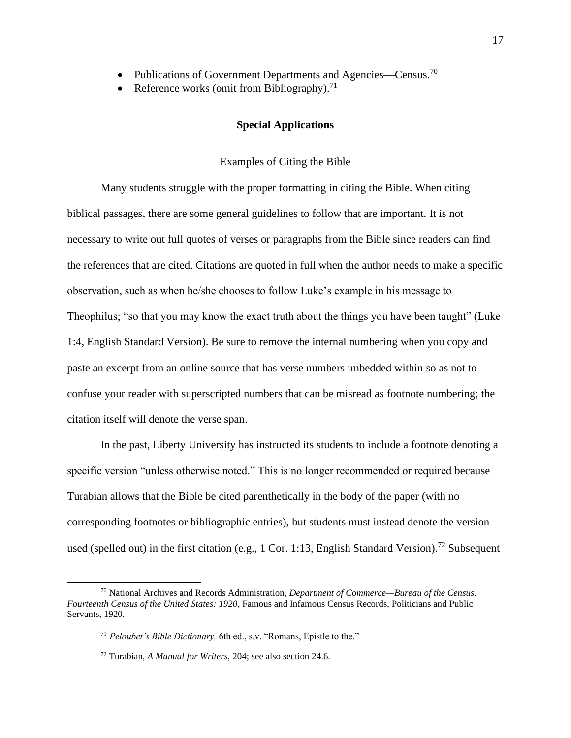- Publications of Government Departments and Agencies—Census.<sup>70</sup>
- <span id="page-19-0"></span>• Reference works (omit from Bibliography).<sup>71</sup>

### **Special Applications**

#### Examples of Citing the Bible

<span id="page-19-1"></span>Many students struggle with the proper formatting in citing the Bible. When citing biblical passages, there are some general guidelines to follow that are important. It is not necessary to write out full quotes of verses or paragraphs from the Bible since readers can find the references that are cited. Citations are quoted in full when the author needs to make a specific observation, such as when he/she chooses to follow Luke's example in his message to Theophilus; "so that you may know the exact truth about the things you have been taught" (Luke 1:4, English Standard Version). Be sure to remove the internal numbering when you copy and paste an excerpt from an online source that has verse numbers imbedded within so as not to confuse your reader with superscripted numbers that can be misread as footnote numbering; the citation itself will denote the verse span.

In the past, Liberty University has instructed its students to include a footnote denoting a specific version "unless otherwise noted." This is no longer recommended or required because Turabian allows that the Bible be cited parenthetically in the body of the paper (with no corresponding footnotes or bibliographic entries), but students must instead denote the version used (spelled out) in the first citation (e.g., 1 Cor. 1:13, English Standard Version).<sup>72</sup> Subsequent

<sup>70</sup> National Archives and Records Administration, *Department of Commerce—Bureau of the Census: Fourteenth Census of the United States: 1920*, Famous and Infamous Census Records, Politicians and Public Servants, 1920.

<sup>71</sup> *Peloubet's Bible Dictionary,* 6th ed., s.v. "Romans, Epistle to the."

<sup>72</sup> Turabian, *A Manual for Writers*, 204; see also section 24.6.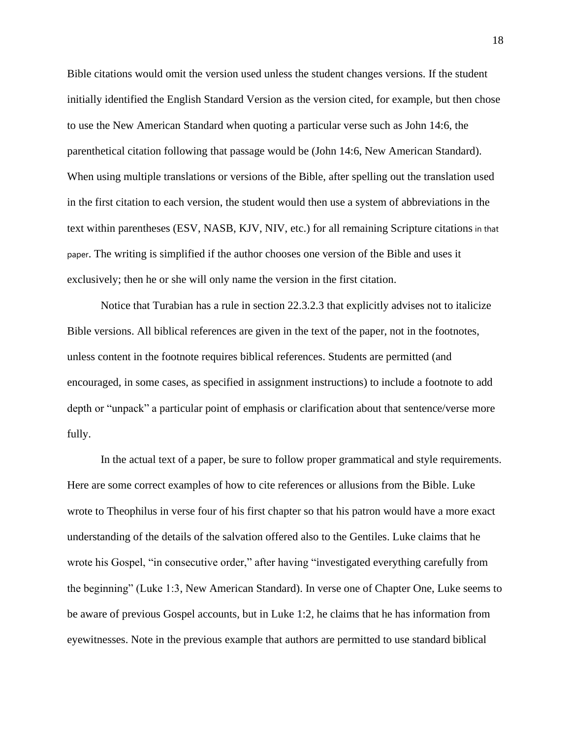Bible citations would omit the version used unless the student changes versions. If the student initially identified the English Standard Version as the version cited, for example, but then chose to use the New American Standard when quoting a particular verse such as John 14:6, the parenthetical citation following that passage would be (John 14:6, New American Standard). When using multiple translations or versions of the Bible, after spelling out the translation used in the first citation to each version, the student would then use a system of abbreviations in the text within parentheses (ESV, NASB, KJV, NIV, etc.) for all remaining Scripture citations in that paper. The writing is simplified if the author chooses one version of the Bible and uses it exclusively; then he or she will only name the version in the first citation.

Notice that Turabian has a rule in section 22.3.2.3 that explicitly advises not to italicize Bible versions. All biblical references are given in the text of the paper, not in the footnotes, unless content in the footnote requires biblical references. Students are permitted (and encouraged, in some cases, as specified in assignment instructions) to include a footnote to add depth or "unpack" a particular point of emphasis or clarification about that sentence/verse more fully.

In the actual text of a paper, be sure to follow proper grammatical and style requirements. Here are some correct examples of how to cite references or allusions from the Bible. Luke wrote to Theophilus in verse four of his first chapter so that his patron would have a more exact understanding of the details of the salvation offered also to the Gentiles. Luke claims that he wrote his Gospel, "in consecutive order," after having "investigated everything carefully from the beginning" (Luke 1:3, New American Standard). In verse one of Chapter One, Luke seems to be aware of previous Gospel accounts, but in Luke 1:2, he claims that he has information from eyewitnesses. Note in the previous example that authors are permitted to use standard biblical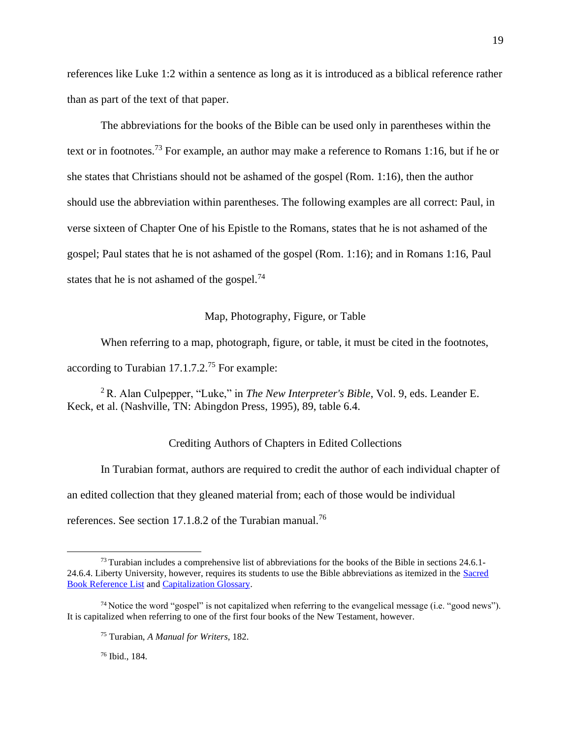references like Luke 1:2 within a sentence as long as it is introduced as a biblical reference rather than as part of the text of that paper.

The abbreviations for the books of the Bible can be used only in parentheses within the text or in footnotes.<sup>73</sup> For example, an author may make a reference to Romans 1:16, but if he or she states that Christians should not be ashamed of the gospel (Rom. 1:16), then the author should use the abbreviation within parentheses. The following examples are all correct: Paul, in verse sixteen of Chapter One of his Epistle to the Romans, states that he is not ashamed of the gospel; Paul states that he is not ashamed of the gospel (Rom. 1:16); and in Romans 1:16, Paul states that he is not ashamed of the gospel.<sup>74</sup>

#### Map, Photography, Figure, or Table

<span id="page-21-0"></span>When referring to a map, photograph, figure, or table, it must be cited in the footnotes,

according to Turabian 17.1.7.2.<sup>75</sup> For example:

<span id="page-21-1"></span><sup>2</sup>R. Alan Culpepper, "Luke," in *The New Interpreter's Bible*, Vol. 9, eds. Leander E. Keck, et al. (Nashville, TN: Abingdon Press, 1995), 89, table 6.4.

#### Crediting Authors of Chapters in Edited Collections

In Turabian format, authors are required to credit the author of each individual chapter of an edited collection that they gleaned material from; each of those would be individual references. See section 17.1.8.2 of the Turabian manual.<sup>76</sup>

<sup>76</sup> Ibid., 184.

 $^{73}$  Turabian includes a comprehensive list of abbreviations for the books of the Bible in sections 24.6.1-24.6.4. Liberty University, however, requires its students to use the Bible abbreviations as itemized in the [Sacred](https://www.liberty.edu/casas/academic-success-center/wp-content/uploads/sites/28/2020/05/Sacred-Book-References-03182020.pdf)  [Book Reference List](https://www.liberty.edu/casas/academic-success-center/wp-content/uploads/sites/28/2020/05/Sacred-Book-References-03182020.pdf) and [Capitalization Glossary.](https://www.liberty.edu/casas/academic-success-center/wp-content/uploads/sites/28/2020/05/Capitalization-Glossary-03182020.pdf)

 $^{74}$  Notice the word "gospel" is not capitalized when referring to the evangelical message (i.e. "good news"). It is capitalized when referring to one of the first four books of the New Testament, however.

<sup>75</sup> Turabian, *A Manual for Writers*, 182.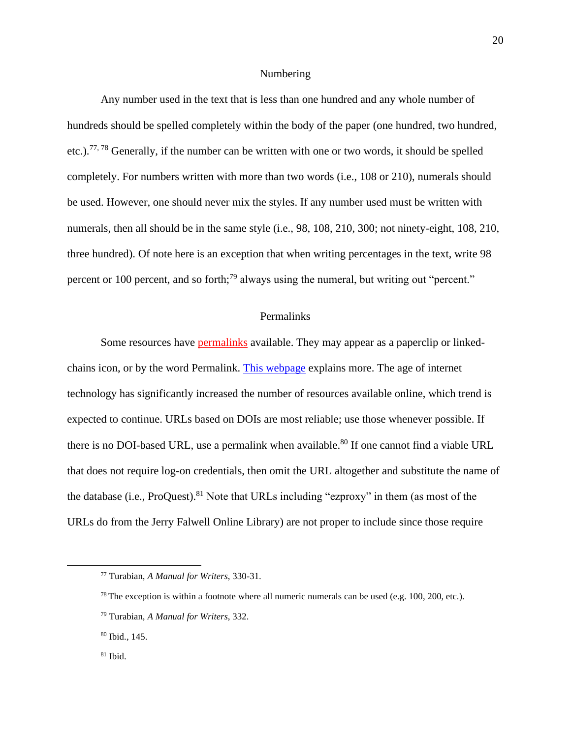#### Numbering

<span id="page-22-0"></span>Any number used in the text that is less than one hundred and any whole number of hundreds should be spelled completely within the body of the paper (one hundred, two hundred, etc.).<sup>77, 78</sup> Generally, if the number can be written with one or two words, it should be spelled completely. For numbers written with more than two words (i.e., 108 or 210), numerals should be used. However, one should never mix the styles. If any number used must be written with numerals, then all should be in the same style (i.e., 98, 108, 210, 300; not ninety-eight, 108, 210, three hundred). Of note here is an exception that when writing percentages in the text, write 98 percent or 100 percent, and so forth;<sup>79</sup> always using the numeral, but writing out "percent."

#### Permalinks

<span id="page-22-1"></span>Some resources have **permalinks** available. They may appear as a paperclip or linked-chains icon, or by the word Permalink. [This webpage](https://techterms.com/definition/permalink) explains more. The age of internet technology has significantly increased the number of resources available online, which trend is expected to continue. URLs based on DOIs are most reliable; use those whenever possible. If there is no DOI-based URL, use a permalink when available.<sup>80</sup> If one cannot find a viable URL that does not require log-on credentials, then omit the URL altogether and substitute the name of the database (i.e., ProQuest).<sup>81</sup> Note that URLs including "ezproxy" in them (as most of the URLs do from the Jerry Falwell Online Library) are not proper to include since those require

<sup>77</sup> Turabian, *A Manual for Writers*, 330-31.

<sup>&</sup>lt;sup>78</sup> The exception is within a footnote where all numeric numerals can be used (e.g. 100, 200, etc.).

<sup>79</sup> Turabian, *A Manual for Writers*, 332.

<sup>80</sup> Ibid., 145.

<sup>81</sup> Ibid.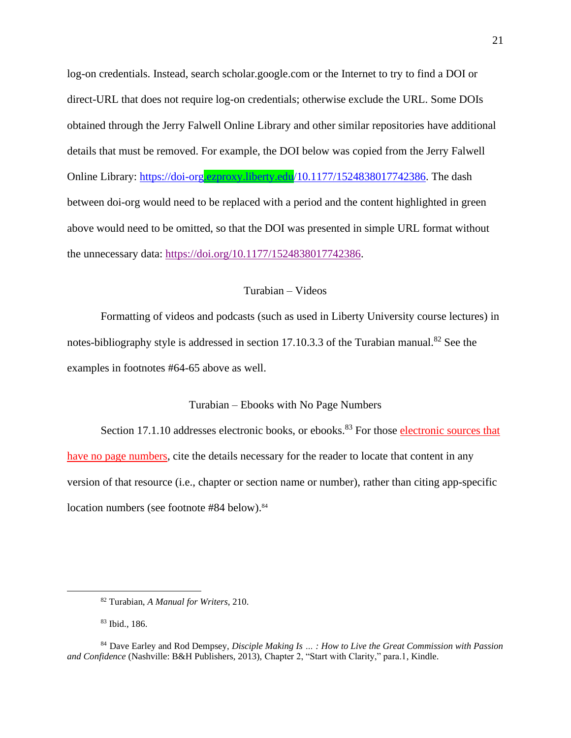log-on credentials. Instead, search scholar.google.com or the Internet to try to find a DOI or direct-URL that does not require log-on credentials; otherwise exclude the URL. Some DOIs obtained through the Jerry Falwell Online Library and other similar repositories have additional details that must be removed. For example, the DOI below was copied from the Jerry Falwell Online Library: [https://doi-org.ezproxy.liberty.edu/10.1177/1524838017742386.](https://doi-org.ezproxy.liberty.edu/10.1177/1524838017742386) The dash between doi-org would need to be replaced with a period and the content highlighted in green above would need to be omitted, so that the DOI was presented in simple URL format without the unnecessary data: [https://doi.org/10.1177/1524838017742386.](https://doi.org/10.1177/1524838017742386)

#### Turabian – Videos

<span id="page-23-0"></span>Formatting of videos and podcasts (such as used in Liberty University course lectures) in notes-bibliography style is addressed in section 17.10.3.3 of the Turabian manual.<sup>82</sup> See the examples in footnotes #64-65 above as well.

### Turabian – Ebooks with No Page Numbers

<span id="page-23-1"></span>Section 17.1.10 addresses electronic books, or ebooks.<sup>83</sup> For those electronic sources that [have no page numbers,](https://www-chicagomanualofstyle-org.ezproxy.liberty.edu/book/ed17/part3/ch14/psec022.html) cite the details necessary for the reader to locate that content in any version of that resource (i.e., chapter or section name or number), rather than citing app-specific location numbers (see footnote #84 below).<sup>84</sup>

<sup>82</sup> Turabian, *A Manual for Writers*, 210.

<sup>83</sup> Ibid., 186.

<sup>84</sup> Dave Earley and Rod Dempsey, *Disciple Making Is … : How to Live the Great Commission with Passion and Confidence* (Nashville: B&H Publishers, 2013), Chapter 2, "Start with Clarity," para.1, Kindle.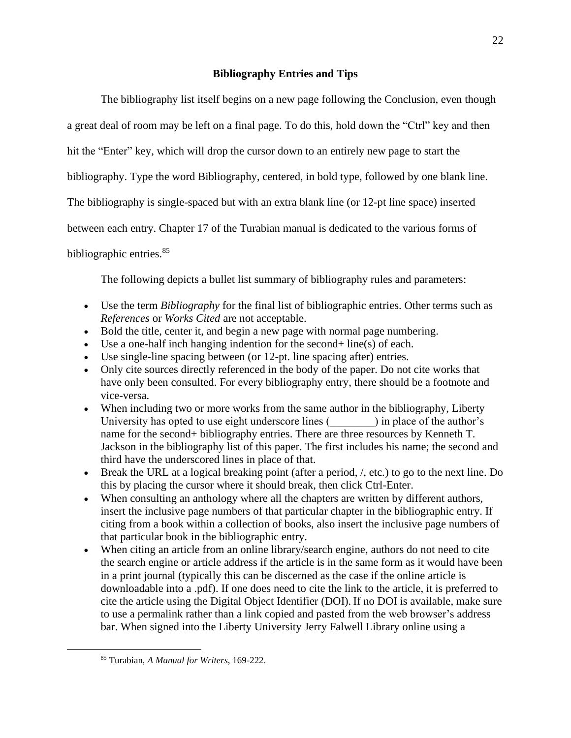## **Bibliography Entries and Tips**

<span id="page-24-0"></span>The bibliography list itself begins on a new page following the Conclusion, even though a great deal of room may be left on a final page. To do this, hold down the "Ctrl" key and then hit the "Enter" key, which will drop the cursor down to an entirely new page to start the bibliography. Type the word Bibliography, centered, in bold type, followed by one blank line. The bibliography is single-spaced but with an extra blank line (or 12-pt line space) inserted between each entry. Chapter 17 of the Turabian manual is dedicated to the various forms of bibliographic entries.<sup>85</sup>

The following depicts a bullet list summary of bibliography rules and parameters:

- Use the term *Bibliography* for the final list of bibliographic entries. Other terms such as *References* or *Works Cited* are not acceptable.
- Bold the title, center it, and begin a new page with normal page numbering.
- Use a one-half inch hanging indention for the second  $+$  line(s) of each.
- Use single-line spacing between (or 12-pt. line spacing after) entries.
- Only cite sources directly referenced in the body of the paper. Do not cite works that have only been consulted. For every bibliography entry, there should be a footnote and vice-versa.
- When including two or more works from the same author in the bibliography, Liberty University has opted to use eight underscore lines (  $\Box$  ) in place of the author's name for the second+ bibliography entries. There are three resources by Kenneth T. Jackson in the bibliography list of this paper. The first includes his name; the second and third have the underscored lines in place of that.
- Break the URL at a logical breaking point (after a period,  $/$ , etc.) to go to the next line. Do this by placing the cursor where it should break, then click Ctrl-Enter.
- When consulting an anthology where all the chapters are written by different authors, insert the inclusive page numbers of that particular chapter in the bibliographic entry. If citing from a book within a collection of books, also insert the inclusive page numbers of that particular book in the bibliographic entry.
- When citing an article from an online library/search engine, authors do not need to cite the search engine or article address if the article is in the same form as it would have been in a print journal (typically this can be discerned as the case if the online article is downloadable into a .pdf). If one does need to cite the link to the article, it is preferred to cite the article using the Digital Object Identifier (DOI). If no DOI is available, make sure to use a permalink rather than a link copied and pasted from the web browser's address bar. When signed into the Liberty University Jerry Falwell Library online using a

<sup>85</sup> Turabian, *A Manual for Writers*, 169-222.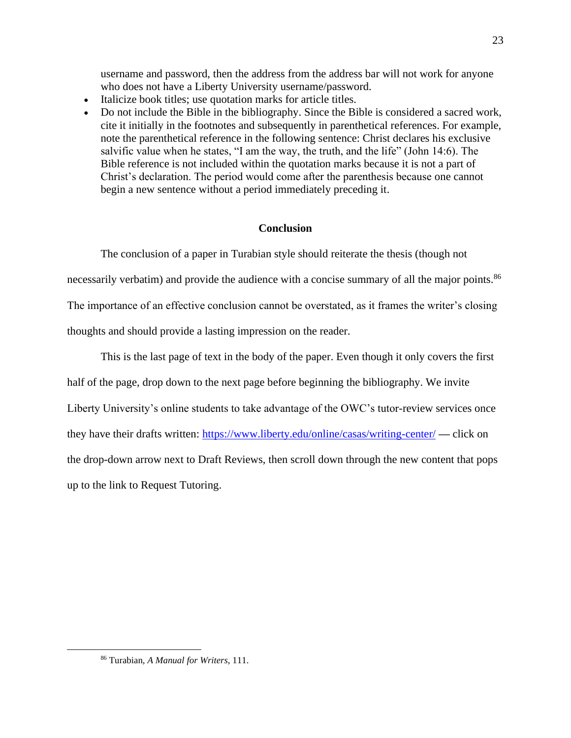username and password, then the address from the address bar will not work for anyone who does not have a Liberty University username/password.

- Italicize book titles; use quotation marks for article titles.
- Do not include the Bible in the bibliography. Since the Bible is considered a sacred work, cite it initially in the footnotes and subsequently in parenthetical references. For example, note the parenthetical reference in the following sentence: Christ declares his exclusive salvific value when he states, "I am the way, the truth, and the life" (John 14:6). The Bible reference is not included within the quotation marks because it is not a part of Christ's declaration. The period would come after the parenthesis because one cannot begin a new sentence without a period immediately preceding it.

### **Conclusion**

<span id="page-25-0"></span>The conclusion of a paper in Turabian style should reiterate the thesis (though not necessarily verbatim) and provide the audience with a concise summary of all the major points.<sup>86</sup> The importance of an effective conclusion cannot be overstated, as it frames the writer's closing thoughts and should provide a lasting impression on the reader.

 This is the last page of text in the body of the paper. Even though it only covers the first half of the page, drop down to the next page before beginning the bibliography. We invite Liberty University's online students to take advantage of the OWC's tutor-review services once they have their drafts written:<https://www.liberty.edu/online/casas/writing-center/> **—** click on the drop-down arrow next to Draft Reviews, then scroll down through the new content that pops up to the link to Request Tutoring.

<sup>86</sup> Turabian, *A Manual for Writers*, 111.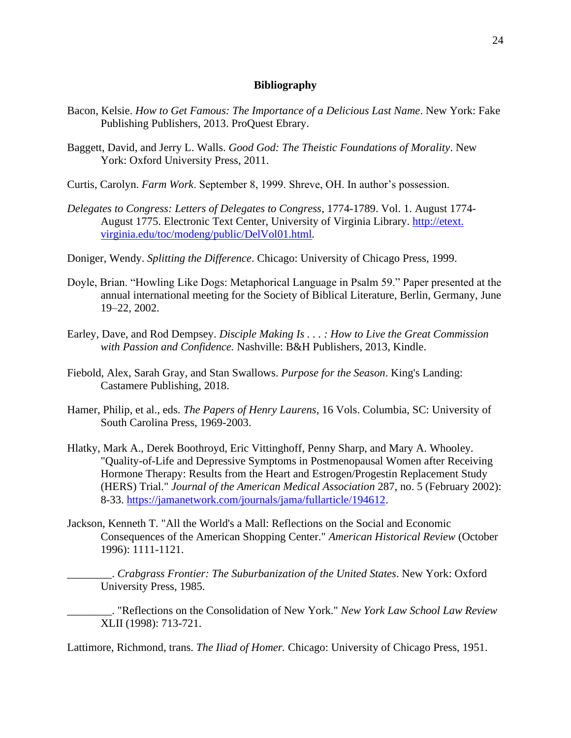#### **Bibliography**

- <span id="page-26-0"></span>Bacon, Kelsie. *How to Get Famous: The Importance of a Delicious Last Name*. New York: Fake Publishing Publishers, 2013. ProQuest Ebrary.
- Baggett, David, and Jerry L. Walls. *Good God: The Theistic Foundations of Morality*. New York: Oxford University Press, 2011.
- Curtis, Carolyn. *Farm Work*. September 8, 1999. Shreve, OH. In author's possession.
- *Delegates to Congress: Letters of Delegates to Congress*, 1774-1789. Vol. 1. August 1774- August 1775. Electronic Text Center, University of Virginia Library. [http://etext.](http://etext.virginia.edu/toc/modeng/public/DelVol01.html) [virginia.edu/toc/modeng/public/DelVol01.html](http://etext.virginia.edu/toc/modeng/public/DelVol01.html)*.*
- Doniger, Wendy. *Splitting the Difference*. Chicago: University of Chicago Press, 1999.
- Doyle, Brian. "Howling Like Dogs: Metaphorical Language in Psalm 59." Paper presented at the annual international meeting for the Society of Biblical Literature, Berlin, Germany, June 19–22, 2002.
- Earley, Dave, and Rod Dempsey. *Disciple Making Is . . . : How to Live the Great Commission with Passion and Confidence.* Nashville: B&H Publishers, 2013, Kindle.
- Fiebold, Alex, Sarah Gray, and Stan Swallows. *Purpose for the Season*. King's Landing: Castamere Publishing, 2018.
- Hamer, Philip, et al., eds. *The Papers of Henry Laurens*, 16 Vols. Columbia, SC: University of South Carolina Press, 1969-2003.
- Hlatky, Mark A., Derek Boothroyd, Eric Vittinghoff, Penny Sharp, and Mary A. Whooley. "Quality-of-Life and Depressive Symptoms in Postmenopausal Women after Receiving Hormone Therapy: Results from the Heart and Estrogen/Progestin Replacement Study (HERS) Trial." *Journal of the American Medical Association* 287, no. 5 (February 2002): 8-33. [https://jamanetwork.com/journals/jama/fullarticle/194612.](https://jamanetwork.com/journals/jama/fullarticle/194612)
- Jackson, Kenneth T. "All the World's a Mall: Reflections on the Social and Economic Consequences of the American Shopping Center." *American Historical Review* (October 1996): 1111-1121.

\_\_\_\_\_\_\_\_. *Crabgrass Frontier: The Suburbanization of the United States*. New York: Oxford University Press, 1985.

\_\_\_\_\_\_\_\_. "Reflections on the Consolidation of New York." *New York Law School Law Review* XLII (1998): 713-721.

Lattimore, Richmond, trans. *The Iliad of Homer.* Chicago: University of Chicago Press, 1951.